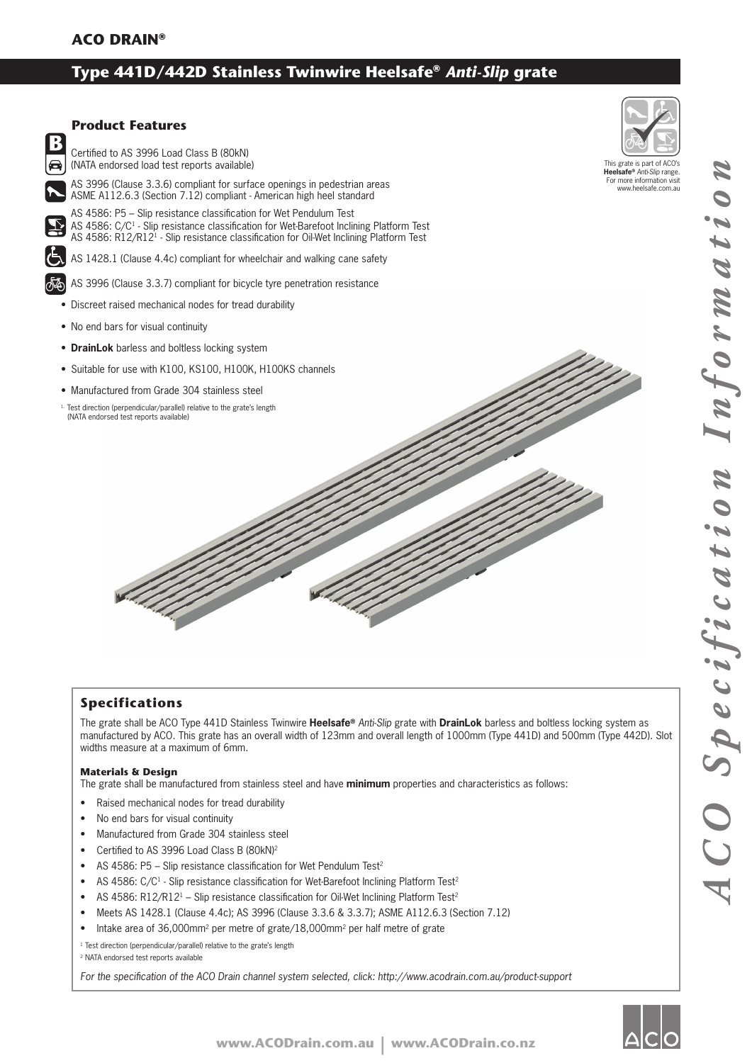# **Type 441D/442D Stainless Twinwire Heelsafe®** *Anti-Slip* **grate**



### **Specifications**

The grate shall be ACO Type 441D Stainless Twinwire **Heelsafe®** *Anti-Slip* grate with **DrainLok** barless and boltless locking system as manufactured by ACO. This grate has an overall width of 123mm and overall length of 1000mm (Type 441D) and 500mm (Type 442D). Slot widths measure at a maximum of 6mm.

#### **Materials & Design**

The grate shall be manufactured from stainless steel and have **minimum** properties and characteristics as follows:

- Raised mechanical nodes for tread durability
- No end bars for visual continuity
- Manufactured from Grade 304 stainless steel
- Certified to AS 3996 Load Class B (80kN)<sup>2</sup>
- AS 4586: P5 Slip resistance classification for Wet Pendulum Test<sup>2</sup>
- AS 4586: C/C<sup>1</sup> Slip resistance classification for Wet-Barefoot Inclining Platform Test<sup>2</sup>
- AS 4586: R12/R12<sup>1</sup> Slip resistance classification for Oil-Wet Inclining Platform Test<sup>2</sup>
- Meets AS 1428.1 (Clause 4.4c); AS 3996 (Clause 3.3.6 & 3.3.7); ASME A112.6.3 (Section 7.12)
- Intake area of 36,000mm2 per metre of grate/18,000mm2 per half metre of grate

<sup>1</sup> Test direction (perpendicular/parallel) relative to the grate's length

2 NATA endorsed test reports available

For the specification of the ACO Drain channel system selected, click: http://www.acodrain.com.au/product-support